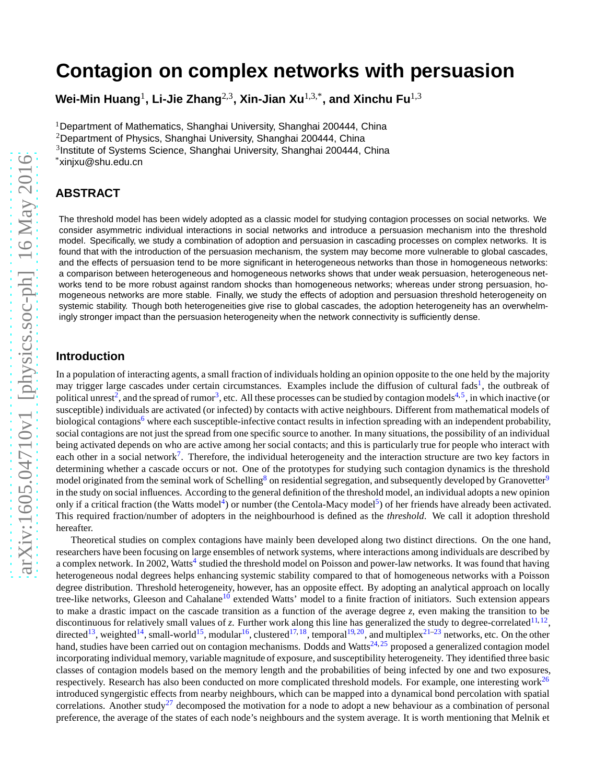# **Contagion on complex networks with persuasion**

**Wei-Min Huang**<sup>1</sup> **, Li-Jie Zhang**2,3**, Xin-Jian Xu**1,3,\***, and Xinchu Fu**1,3

<sup>1</sup>Department of Mathematics, Shanghai University, Shanghai 200444, China <sup>2</sup>Department of Physics, Shanghai University, Shanghai 200444, China <sup>3</sup>Institute of Systems Science, Shanghai University, Shanghai 200444, China

\*xinjxu@shu.edu.cn

## **ABSTRACT**

The threshold model has been widely adopted as a classic model for studying contagion processes on social networks. We consider asymmetric individual interactions in social networks and introduce a persuasion mechanism into the threshold model. Specifically, we study a combination of adoption and persuasion in cascading processes on complex networks. It is found that with the introduction of the persuasion mechanism, the system may become more vulnerable to global cascades, and the effects of persuasion tend to be more significant in heterogeneous networks than those in homogeneous networks: a comparison between heterogeneous and homogeneous networks shows that under weak persuasion, heterogeneous networks tend to be more robust against random shocks than homogeneous networks; whereas under strong persuasion, homogeneous networks are more stable. Finally, we study the effects of adoption and persuasion threshold heterogeneity on systemic stability. Though both heterogeneities give rise to global cascades, the adoption heterogeneity has an overwhelmingly stronger impact than the persuasion heterogeneity when the network connectivity is sufficiently dense.

## **Introduction**

In a population of interacting agents, a small fraction of individuals holding an opinion opposite to the one held by the majority may trigger large cascades under certain circumstances. Examples include the diffusion of cultural fads<sup>[1](#page-4-0)</sup>, the outbreak of political unrest<sup>[2](#page-4-1)</sup>, and the spread of rumor<sup>[3](#page-4-2)</sup>, etc. All these processes can be studied by contagion models<sup>[4,](#page-4-3)[5](#page-4-4)</sup>, in which inactive (or susceptible) individuals are activated (or infected) by contacts with active neighbours. Different from mathematical models of biological contagions<sup>[6](#page-4-5)</sup> where each susceptible-infective contact results in infection spreading with an independent probability, social contagions are not just the spread from one specific source to another. In many situations, the possibility of an individual being activated depends on who are active among her social contacts; and this is particularly true for people who interact with each other in a social network<sup>[7](#page-4-6)</sup>. Therefore, the individual heterogeneity and the interaction structure are two key factors in determining whether a cascade occurs or not. One of the prototypes for studying such contagion dynamics is the threshold model originated from the seminal work of Schelling<sup>[8](#page-4-7)</sup> on residential segregation, and subsequently developed by Granovetter<sup>[9](#page-4-8)</sup> in the study on social influences. According to the general definition of the threshold model, an individual adopts a new opinion only if a critical fraction (the Watts model<sup>[4](#page-4-3)</sup>) or number (the Centola-Macy model<sup>[5](#page-4-4)</sup>) of her friends have already been activated. This required fraction/number of adopters in the neighbourhood is defined as the *threshold*. We call it adoption threshold hereafter.

Theoretical studies on complex contagions have mainly been developed along two distinct directions. On the one hand, researchers have been focusing on large ensembles of network systems, where interactions among individuals are described by a complex network. In 2002, Watts<sup>[4](#page-4-3)</sup> studied the threshold model on Poisson and power-law networks. It was found that having heterogeneous nodal degrees helps enhancing systemic stability compared to that of homogeneous networks with a Poisson degree distribution. Threshold heterogeneity, however, has an opposite effect. By adopting an analytical approach on locally tree-like networks, Gleeson and Cahalane<sup>[10](#page-4-9)</sup> extended Watts' model to a finite fraction of initiators. Such extension appears to make a drastic impact on the cascade transition as a function of the average degree *z*, even making the transition to be discontinuous for relatively small values of  $z$ . Further work along this line has generalized the study to degree-correlated  $11,12$  $11,12$ , directed<sup>[13](#page-4-12)</sup>, weighted<sup>[14](#page-4-13)</sup>, small-world<sup>[15](#page-4-14)</sup>, modular<sup>[16](#page-4-15)</sup>, clustered<sup>[17,](#page-4-16)[18](#page-4-17)</sup>, temporal<sup>[19,](#page-4-18)[20](#page-4-19)</sup>, and multiplex<sup>[21–](#page-4-20)[23](#page-4-21)</sup> networks, etc. On the other hand, studies have been carried out on contagion mechanisms. Dodds and Watts $^{24,25}$  $^{24,25}$  $^{24,25}$  $^{24,25}$  proposed a generalized contagion model incorporating individual memory, variable magnitude of exposure, and susceptibility heterogeneity. They identified three basic classes of contagion models based on the memory length and the probabilities of being infected by one and two exposures, respectively. Research has also been conducted on more complicated threshold models. For example, one interesting work<sup>[26](#page-5-1)</sup> introduced syngergistic effects from nearby neighbours, which can be mapped into a dynamical bond percolation with spatial correlations. Another study<sup>[27](#page-5-2)</sup> decomposed the motivation for a node to adopt a new behaviour as a combination of personal preference, the average of the states of each node's neighbours and the system average. It is worth mentioning that Melnik et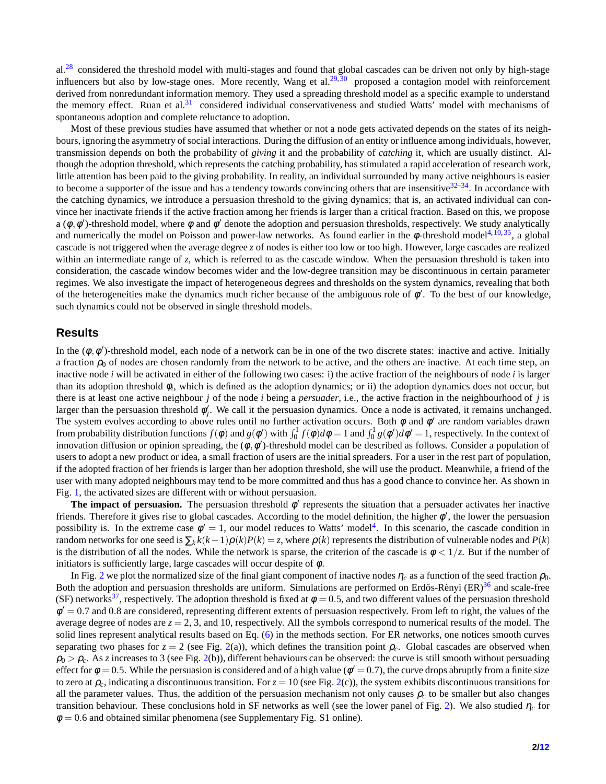$a^{28}$  $a^{28}$  $a^{28}$  considered the threshold model with multi-stages and found that global cascades can be driven not only by high-stage influencers but also by low-stage ones. More recently, Wang et al. $^{29,30}$  $^{29,30}$  $^{29,30}$  $^{29,30}$  proposed a contagion model with reinforcement derived from nonredundant information memory. They used a spreading threshold model as a specific example to understand the memory effect. Ruan et al. $31$  considered individual conservativeness and studied Watts' model with mechanisms of spontaneous adoption and complete reluctance to adoption.

Most of these previous studies have assumed that whether or not a node gets activated depends on the states of its neighbours, ignoring the asymmetry of social interactions. During the diffusion of an entity or influence among individuals, however, transmission depends on both the probability of *giving* it and the probability of *catching* it, which are usually distinct. Although the adoption threshold, which represents the catching probability, has stimulated a rapid acceleration of research work, little attention has been paid to the giving probability. In reality, an individual surrounded by many active neighbours is easier to become a supporter of the issue and has a tendency towards convincing others that are insensitive  $32-34$  $32-34$ . In accordance with the catching dynamics, we introduce a persuasion threshold to the giving dynamics; that is, an activated individual can convince her inactivate friends if the active fraction among her friends is larger than a critical fraction. Based on this, we propose a  $(\phi, \phi')$ -threshold model, where  $\phi$  and  $\phi'$  denote the adoption and persuasion thresholds, respectively. We study analytically and numerically the model on Poisson and power-law networks. As found earlier in the  $\phi$ -threshold model<sup>[4,](#page-4-3)[10,](#page-4-9)[35](#page-5-9)</sup>, a global cascade is not triggered when the average degree *z* of nodes is either too low or too high. However, large cascades are realized within an intermediate range of *z*, which is referred to as the cascade window. When the persuasion threshold is taken into consideration, the cascade window becomes wider and the low-degree transition may be discontinuous in certain parameter regimes. We also investigate the impact of heterogeneous degrees and thresholds on the system dynamics, revealing that both of the heterogeneities make the dynamics much richer because of the ambiguous role of  $\phi'$ . To the best of our knowledge, such dynamics could not be observed in single threshold models.

#### **Results**

In the  $(\phi, \phi')$ -threshold model, each node of a network can be in one of the two discrete states: inactive and active. Initially a fraction  $\rho_0$  of nodes are chosen randomly from the network to be active, and the others are inactive. At each time step, an inactive node *i* will be activated in either of the following two cases: i) the active fraction of the neighbours of node *i* is larger than its adoption threshold φ*<sup>i</sup>* , which is defined as the adoption dynamics; or ii) the adoption dynamics does not occur, but there is at least one active neighbour *j* of the node *i* being a *persuader*, i.e., the active fraction in the neighbourhood of *j* is larger than the persuasion threshold  $\ddot{\phi}'_i$  $'_{j}$ . We call it the persuasion dynamics. Once a node is activated, it remains unchanged. The system evolves according to above rules until no further activation occurs. Both  $\phi$  and  $\phi'$  are random variables drawn from probability distribution functions  $f(\phi)$  and  $g(\phi')$  with  $\int_0^1 f(\phi) d\phi = 1$  and  $\int_0^1 g(\phi') d\phi' = 1$ , respectively. In the context of innovation diffusion or opinion spreading, the  $(\phi, \phi')$ -threshold model can be described as follows. Consider a population of users to adopt a new product or idea, a small fraction of users are the initial spreaders. For a user in the rest part of population, if the adopted fraction of her friends is larger than her adoption threshold, she will use the product. Meanwhile, a friend of the user with many adopted neighbours may tend to be more committed and thus has a good chance to convince her. As shown in Fig. [1,](#page-6-0) the activated sizes are different with or without persuasion.

**The impact of persuasion.** The persuasion threshold  $\phi'$  represents the situation that a persuader activates her inactive friends. Therefore it gives rise to global cascades. According to the model definition, the higher  $\phi'$ , the lower the persuasion possibility is. In the extreme case  $\phi' = 1$ , our model reduces to Watts' model<sup>[4](#page-4-3)</sup>. In this scenario, the cascade condition in random networks for one seed is  $\sum_k k(k-1)\rho(k)P(k) = z$ , where  $\rho(k)$  represents the distribution of vulnerable nodes and  $P(k)$ is the distribution of all the nodes. While the network is sparse, the criterion of the cascade is  $\phi < 1/z$ . But if the number of initiators is sufficiently large, large cascades will occur despite of  $\phi$ .

In Fig. [2](#page-7-0) we plot the normalized size of the final giant component of inactive nodes  $\eta_c$  as a function of the seed fraction  $\rho_0$ . Both the adoption and persuasion thresholds are uniform. Simulations are performed on Erdős-Rényi  $(ER)^{36}$  $(ER)^{36}$  $(ER)^{36}$  and scale-free (SF) networks<sup>[37](#page-5-11)</sup>, respectively. The adoption threshold is fixed at  $\phi = 0.5$ , and two different values of the persuasion threshold  $\dot{\phi}' = 0.7$  and 0.8 are considered, representing different extents of persuasion respectively. From left to right, the values of the average degree of nodes are  $z = 2$ , 3, and 10, respectively. All the symbols correspond to numerical results of the model. The solid lines represent analytical results based on Eq. [\(6\)](#page-4-23) in the methods section. For ER networks, one notices smooth curves separating two phases for  $z = 2$  (see Fig. [2\(](#page-7-0)a)), which defines the transition point  $\rho_c$ . Global cascades are observed when  $\rho_0 > \rho_c$ . As *z* increases to 3 (see Fig. [2\(](#page-7-0)b)), different behaviours can be observed: the curve is still smooth without persuading effect for  $\phi = 0.5$ . While the persuasion is considered and of a high value ( $\phi' = 0.7$ ), the curve drops abruptly from a finite size to zero at  $\rho_c$ , indicating a discontinuous transition. For  $z = 10$  (see Fig. [2\(](#page-7-0)c)), the system exhibits discontinuous transitions for all the parameter values. Thus, the addition of the persuasion mechanism not only causes  $\rho_c$  to be smaller but also changes transition behaviour. These conclusions hold in SF networks as well (see the lower panel of Fig. [2\)](#page-7-0). We also studied <sup>η</sup>*<sup>c</sup>* for  $\phi = 0.6$  and obtained similar phenomena (see Supplementary Fig. S1 online).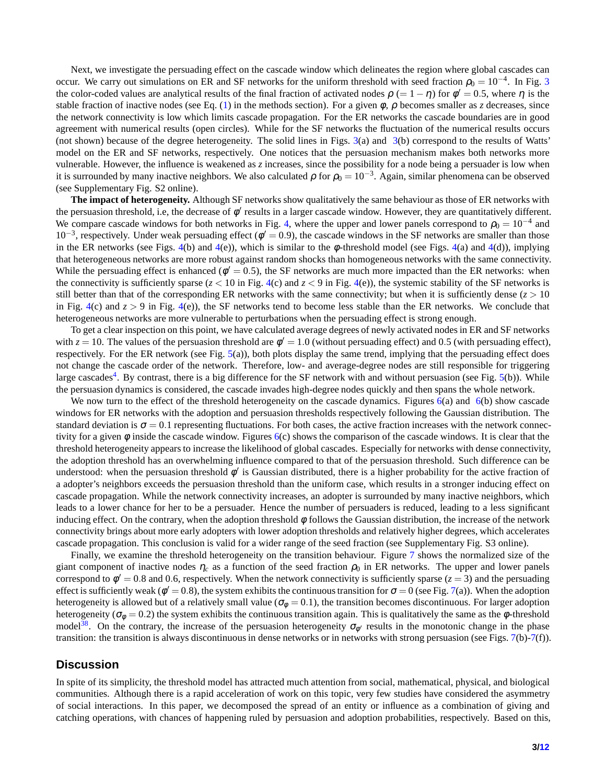Next, we investigate the persuading effect on the cascade window which delineates the region where global cascades can occur. We carry out simulations on ER and SF networks for the uniform threshold with seed fraction  $\rho_0 = 10^{-4}$ . In Fig. [3](#page-8-0) the color-coded values are analytical results of the final fraction of activated nodes  $\rho$  (= 1 –  $\eta$ ) for  $\phi' = 0.5$ , where  $\eta$  is the stable fraction of inactive nodes (see Eq. [\(1\)](#page-3-0) in the methods section). For a given  $\phi$ ,  $\rho$  becomes smaller as *z* decreases, since the network connectivity is low which limits cascade propagation. For the ER networks the cascade boundaries are in good agreement with numerical results (open circles). While for the SF networks the fluctuation of the numerical results occurs (not shown) because of the degree heterogeneity. The solid lines in Figs.  $3(a)$  $3(a)$  and  $3(b)$  correspond to the results of Watts' model on the ER and SF networks, respectively. One notices that the persuasion mechanism makes both networks more vulnerable. However, the influence is weakened as *z* increases, since the possibility for a node being a persuader is low when it is surrounded by many inactive neighbors. We also calculated  $\rho$  for  $\rho_0 = 10^{-3}$ . Again, similar phenomena can be observed (see Supplementary Fig. S2 online).

**The impact of heterogeneity.** Although SF networks show qualitatively the same behaviour as those of ER networks with the persuasion threshold, i.e, the decrease of  $\phi'$  results in a larger cascade window. However, they are quantitatively different. We compare cascade windows for both networks in Fig. [4,](#page-9-0) where the upper and lower panels correspond to  $\rho_0 = 10^{-4}$  and 10<sup>-3</sup>, respectively. Under weak persuading effect ( $\phi'$  = 0.9), the cascade windows in the SF networks are smaller than those in the ER networks (see Figs. [4\(](#page-9-0)b) and 4(e)), which is similar to the  $\phi$ -threshold model (see Figs. 4(a) and 4(d)), implying that heterogeneous networks are more robust against random shocks than homogeneous networks with the same connectivity. While the persuading effect is enhanced ( $\phi' = 0.5$ ), the SF networks are much more impacted than the ER networks: when the connectivity is sufficiently sparse  $(z < 10$  in Fig. [4\(](#page-9-0)c) and  $z < 9$  in Fig. 4(e)), the systemic stability of the SF networks is still better than that of the corresponding ER networks with the same connectivity; but when it is sufficiently dense  $(z > 10$ in Fig. [4\(](#page-9-0)c) and *z* > 9 in Fig. [4\(](#page-9-0)e)), the SF networks tend to become less stable than the ER networks. We conclude that heterogeneous networks are more vulnerable to perturbations when the persuading effect is strong enough.

To get a clear inspection on this point, we have calculated average degrees of newly activated nodes in ER and SF networks with  $z = 10$ . The values of the persuasion threshold are  $\phi' = 1.0$  (without persuading effect) and 0.5 (with persuading effect), respectively. For the ER network (see Fig.  $5(a)$  $5(a)$ ), both plots display the same trend, implying that the persuading effect does not change the cascade order of the network. Therefore, low- and average-degree nodes are still responsible for triggering large cascades<sup>[4](#page-4-3)</sup>. By contrast, there is a big difference for the SF network with and without persuasion (see Fig. [5\(](#page-10-0)b)). While the persuasion dynamics is considered, the cascade invades high-degree nodes quickly and then spans the whole network.

We now turn to the effect of the threshold heterogeneity on the cascade dynamics. Figures  $6(a)$  $6(a)$  and  $6(b)$  show cascade windows for ER networks with the adoption and persuasion thresholds respectively following the Gaussian distribution. The standard deviation is  $\sigma = 0.1$  representing fluctuations. For both cases, the active fraction increases with the network connectivity for a given  $\phi$  inside the cascade window. Figures  $6(c)$  $6(c)$  shows the comparison of the cascade windows. It is clear that the threshold heterogeneity appears to increase the likelihood of global cascades. Especially for networks with dense connectivity, the adoption threshold has an overwhelming influence compared to that of the persuasion threshold. Such difference can be understood: when the persuasion threshold  $\phi'$  is Gaussian distributed, there is a higher probability for the active fraction of a adopter's neighbors exceeds the persuasion threshold than the uniform case, which results in a stronger inducing effect on cascade propagation. While the network connectivity increases, an adopter is surrounded by many inactive neighbors, which leads to a lower chance for her to be a persuader. Hence the number of persuaders is reduced, leading to a less significant inducing effect. On the contrary, when the adoption threshold  $\phi$  follows the Gaussian distribution, the increase of the network connectivity brings about more early adopters with lower adoption thresholds and relatively higher degrees, which accelerates cascade propagation. This conclusion is valid for a wider range of the seed fraction (see Supplementary Fig. S3 online).

Finally, we examine the threshold heterogeneity on the transition behaviour. Figure [7](#page-11-1) shows the normalized size of the giant component of inactive nodes  $\eta_c$  as a function of the seed fraction  $\rho_0$  in ER networks. The upper and lower panels correspond to  $\phi' = 0.8$  and 0.6, respectively. When the network connectivity is sufficiently sparse ( $z = 3$ ) and the persuading effect is sufficiently weak ( $\phi' = 0.8$ ), the system exhibits the continuous transition for  $\sigma = 0$  (see Fig. [7\(](#page-11-1)a)). When the adoption heterogeneity is allowed but of a relatively small value ( $\sigma_{\phi} = 0.1$ ), the transition becomes discontinuous. For larger adoption heterogeneity ( $\sigma_{\phi} = 0.2$ ) the system exhibits the continuous transition again. This is qualitatively the same as the  $\phi$ -threshold model<sup>[38](#page-5-12)</sup>. On the contrary, the increase of the persuasion heterogeneity  $\sigma_{\phi'}$  results in the monotonic change in the phase transition: the transition is always discontinuous in dense networks or in networks with strong persuasion (see Figs. [7\(](#page-11-1)b)[-7\(](#page-11-1)f)).

## **Discussion**

In spite of its simplicity, the threshold model has attracted much attention from social, mathematical, physical, and biological communities. Although there is a rapid acceleration of work on this topic, very few studies have considered the asymmetry of social interactions. In this paper, we decomposed the spread of an entity or influence as a combination of giving and catching operations, with chances of happening ruled by persuasion and adoption probabilities, respectively. Based on this,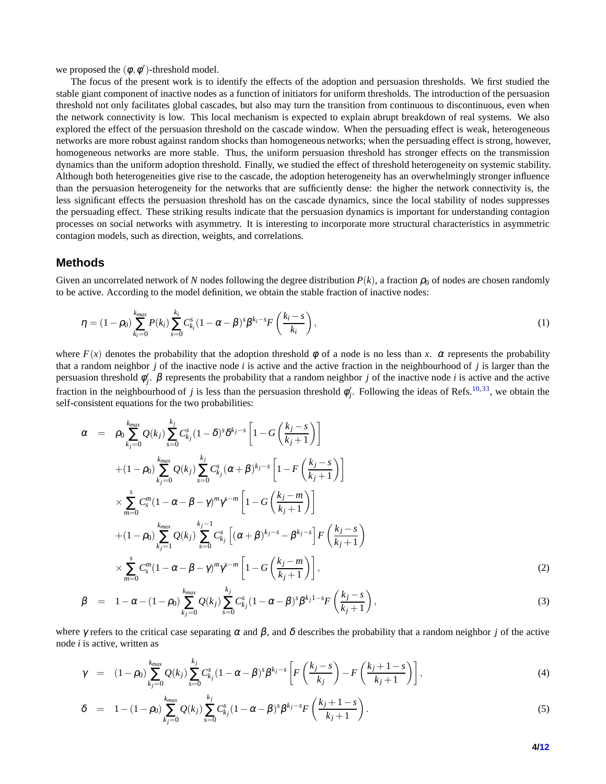we proposed the  $(\phi, \phi')$ -threshold model.

The focus of the present work is to identify the effects of the adoption and persuasion thresholds. We first studied the stable giant component of inactive nodes as a function of initiators for uniform thresholds. The introduction of the persuasion threshold not only facilitates global cascades, but also may turn the transition from continuous to discontinuous, even when the network connectivity is low. This local mechanism is expected to explain abrupt breakdown of real systems. We also explored the effect of the persuasion threshold on the cascade window. When the persuading effect is weak, heterogeneous networks are more robust against random shocks than homogeneous networks; when the persuading effect is strong, however, homogeneous networks are more stable. Thus, the uniform persuasion threshold has stronger effects on the transmission dynamics than the uniform adoption threshold. Finally, we studied the effect of threshold heterogeneity on systemic stability. Although both heterogeneities give rise to the cascade, the adoption heterogeneity has an overwhelmingly stronger influence than the persuasion heterogeneity for the networks that are sufficiently dense: the higher the network connectivity is, the less significant effects the persuasion threshold has on the cascade dynamics, since the local stability of nodes suppresses the persuading effect. These striking results indicate that the persuasion dynamics is important for understanding contagion processes on social networks with asymmetry. It is interesting to incorporate more structural characteristics in asymmetric contagion models, such as direction, weights, and correlations.

#### **Methods**

Given an uncorrelated network of N nodes following the degree distribution  $P(k)$ , a fraction  $\rho_0$  of nodes are chosen randomly to be active. According to the model definition, we obtain the stable fraction of inactive nodes:

<span id="page-3-0"></span>
$$
\eta = (1 - \rho_0) \sum_{k_i=0}^{k_{max}} P(k_i) \sum_{s=0}^{k_i} C_{k_i}^s (1 - \alpha - \beta)^s \beta^{k_i - s} F\left(\frac{k_i - s}{k_i}\right),\tag{1}
$$

where  $F(x)$  denotes the probability that the adoption threshold  $\phi$  of a node is no less than x.  $\alpha$  represents the probability that a random neighbor *j* of the inactive node *i* is active and the active fraction in the neighbourhood of *j* is larger than the persuasion threshold  $\phi_i'$ *j* . β represents the probability that a random neighbor *j* of the inactive node *i* is active and the active fraction in the neighbourhood of *j* is less than the persuasion threshold  $\phi'_i$  $'_{j}$ . Following the ideas of Refs.<sup>[10,](#page-4-9)[33](#page-5-13)</sup>, we obtain the self-consistent equations for the two probabilities:

$$
\alpha = \rho_0 \sum_{k_j=0}^{k_{max}} Q(k_j) \sum_{s=0}^{k_j} C_{k_j}^s (1-\delta)^s \delta^{k_j-s} \left[ 1 - G\left(\frac{k_j - s}{k_j + 1}\right) \right]
$$
  
+ 
$$
(1 - \rho_0) \sum_{k_j=0}^{k_{max}} Q(k_j) \sum_{s=0}^{k_j} C_{k_j}^s (\alpha + \beta)^{k_j-s} \left[ 1 - F\left(\frac{k_j - s}{k_j + 1}\right) \right]
$$
  

$$
\times \sum_{m=0}^s C_s^m (1 - \alpha - \beta - \gamma)^m \gamma^{s-m} \left[ 1 - G\left(\frac{k_j - m}{k_j + 1}\right) \right]
$$
  
+ 
$$
(1 - \rho_0) \sum_{k_j=1}^{k_{max}} Q(k_j) \sum_{s=0}^{k_j - 1} C_{k_j}^s \left[ (\alpha + \beta)^{k_j - s} - \beta^{k_j - s} \right] F\left(\frac{k_j - s}{k_j + 1}\right)
$$
  

$$
\times \sum_{m=0}^s C_s^m (1 - \alpha - \beta - \gamma)^m \gamma^{s-m} \left[ 1 - G\left(\frac{k_j - m}{k_j + 1}\right) \right],
$$
 (2)

$$
\beta = 1 - \alpha - (1 - \rho_0) \sum_{k_j=0}^{k_{max}} Q(k_j) \sum_{s=0}^{k_j} C_{k_j}^s (1 - \alpha - \beta)^s \beta^{k_j 1 - s} F\left(\frac{k_j - s}{k_j + 1}\right), \tag{3}
$$

where  $\gamma$  refers to the critical case separating  $\alpha$  and  $\beta$ , and  $\delta$  describes the probability that a random neighbor *j* of the active node *i* is active, written as

$$
\gamma = (1 - \rho_0) \sum_{k_j=0}^{k_{max}} Q(k_j) \sum_{s=0}^{k_j} C_{k_j}^s (1 - \alpha - \beta)^s \beta^{k_j - s} \left[ F\left(\frac{k_j - s}{k_j}\right) - F\left(\frac{k_j + 1 - s}{k_j + 1}\right) \right],
$$
\n(4)

$$
\delta = 1 - (1 - \rho_0) \sum_{k_j=0}^{k_{max}} Q(k_j) \sum_{s=0}^{k_j} C_{k_j}^s (1 - \alpha - \beta)^s \beta^{k_j - s} F\left(\frac{k_j + 1 - s}{k_j + 1}\right).
$$
\n(5)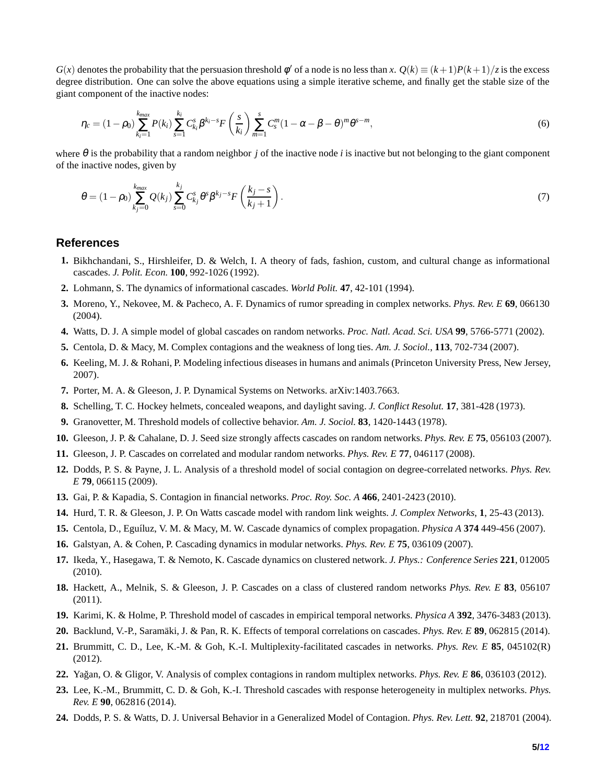$G(x)$  denotes the probability that the persuasion threshold  $\phi'$  of a node is no less than *x*.  $Q(k) \equiv (k+1)P(k+1)/z$  is the excess degree distribution. One can solve the above equations using a simple iterative scheme, and finally get the stable size of the giant component of the inactive nodes:

<span id="page-4-23"></span>
$$
\eta_c = (1 - \rho_0) \sum_{k_i=1}^{k_{max}} P(k_i) \sum_{s=1}^{k_i} C_{k_i}^s \beta^{k_i - s} F\left(\frac{s}{k_i}\right) \sum_{m=1}^s C_s^m (1 - \alpha - \beta - \theta)^m \theta^{s - m}, \tag{6}
$$

where θ is the probability that a random neighbor *j* of the inactive node *i* is inactive but not belonging to the giant component of the inactive nodes, given by

$$
\theta = (1 - \rho_0) \sum_{k_j=0}^{k_{max}} Q(k_j) \sum_{s=0}^{k_j} C_{k_j}^s \theta^s \beta^{k_j - s} F\left(\frac{k_j - s}{k_j + 1}\right).
$$
\n(7)

#### <span id="page-4-0"></span>**References**

- <span id="page-4-1"></span>**1.** Bikhchandani, S., Hirshleifer, D. & Welch, I. A theory of fads, fashion, custom, and cultural change as informational cascades. *J. Polit. Econ.* **100**, 992-1026 (1992).
- <span id="page-4-2"></span>**2.** Lohmann, S. The dynamics of informational cascades. *World Polit.* **47**, 42-101 (1994).
- <span id="page-4-3"></span>**3.** Moreno, Y., Nekovee, M. & Pacheco, A. F. Dynamics of rumor spreading in complex networks. *Phys. Rev. E* **69**, 066130 (2004).
- <span id="page-4-4"></span>**4.** Watts, D. J. A simple model of global cascades on random networks. *Proc. Natl. Acad. Sci. USA* **99**, 5766-5771 (2002).
- <span id="page-4-5"></span>**5.** Centola, D. & Macy, M. Complex contagions and the weakness of long ties. *Am. J. Sociol.*, **113**, 702-734 (2007).
- <span id="page-4-6"></span>**6.** Keeling, M. J. & Rohani, P. Modeling infectious diseases in humans and animals (Princeton University Press, New Jersey, 2007).
- <span id="page-4-7"></span>**7.** Porter, M. A. & Gleeson, J. P. Dynamical Systems on Networks. arXiv:1403.7663.
- <span id="page-4-8"></span>**8.** Schelling, T. C. Hockey helmets, concealed weapons, and daylight saving. *J. Conflict Resolut.* **17**, 381-428 (1973).
- <span id="page-4-9"></span>**9.** Granovetter, M. Threshold models of collective behavior. *Am. J. Sociol.* **83**, 1420-1443 (1978).
- <span id="page-4-10"></span>**10.** Gleeson, J. P. & Cahalane, D. J. Seed size strongly affects cascades on random networks. *Phys. Rev. E* **75**, 056103 (2007).
- <span id="page-4-11"></span>**11.** Gleeson, J. P. Cascades on correlated and modular random networks. *Phys. Rev. E* **77**, 046117 (2008).
- <span id="page-4-12"></span>**12.** Dodds, P. S. & Payne, J. L. Analysis of a threshold model of social contagion on degree-correlated networks. *Phys. Rev. E* **79**, 066115 (2009).
- <span id="page-4-13"></span>**13.** Gai, P. & Kapadia, S. Contagion in financial networks. *Proc. Roy. Soc. A* **466**, 2401-2423 (2010).
- <span id="page-4-14"></span>**14.** Hurd, T. R. & Gleeson, J. P. On Watts cascade model with random link weights. *J. Complex Networks*, **1**, 25-43 (2013).
- <span id="page-4-15"></span>**15.** Centola, D., Egu´ıluz, V. M. & Macy, M. W. Cascade dynamics of complex propagation. *Physica A* **374** 449-456 (2007).
- <span id="page-4-16"></span>**16.** Galstyan, A. & Cohen, P. Cascading dynamics in modular networks. *Phys. Rev. E* **75**, 036109 (2007).
- <span id="page-4-17"></span>**17.** Ikeda, Y., Hasegawa, T. & Nemoto, K. Cascade dynamics on clustered network. *J. Phys.: Conference Series* **221**, 012005 (2010).
- <span id="page-4-18"></span>**18.** Hackett, A., Melnik, S. & Gleeson, J. P. Cascades on a class of clustered random networks *Phys. Rev. E* **83**, 056107 (2011).
- <span id="page-4-19"></span>**19.** Karimi, K. & Holme, P. Threshold model of cascades in empirical temporal networks. *Physica A* **392**, 3476-3483 (2013).
- <span id="page-4-20"></span>**20.** Backlund, V.-P., Saramäki, J. & Pan, R. K. Effects of temporal correlations on cascades. *Phys. Rev. E* **89**, 062815 (2014).
- **21.** Brummitt, C. D., Lee, K.-M. & Goh, K.-I. Multiplexity-facilitated cascades in networks. *Phys. Rev. E* **85**, 045102(R) (2012).
- <span id="page-4-21"></span>**22.** Ya˘gan, O. & Gligor, V. Analysis of complex contagions in random multiplex networks. *Phys. Rev. E* **86**, 036103 (2012).
- <span id="page-4-22"></span>**23.** Lee, K.-M., Brummitt, C. D. & Goh, K.-I. Threshold cascades with response heterogeneity in multiplex networks. *Phys. Rev. E* **90**, 062816 (2014).
- **24.** Dodds, P. S. & Watts, D. J. Universal Behavior in a Generalized Model of Contagion. *Phys. Rev. Lett.* **92**, 218701 (2004).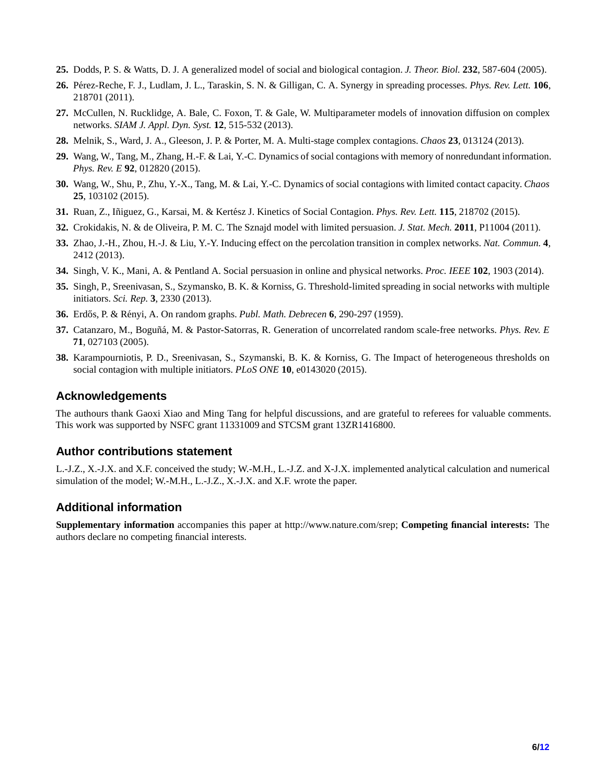- <span id="page-5-1"></span><span id="page-5-0"></span>**25.** Dodds, P. S. & Watts, D. J. A generalized model of social and biological contagion. *J. Theor. Biol.* **232**, 587-604 (2005).
- <span id="page-5-2"></span>**26.** P´erez-Reche, F. J., Ludlam, J. L., Taraskin, S. N. & Gilligan, C. A. Synergy in spreading processes. *Phys. Rev. Lett.* **106**, 218701 (2011).
- <span id="page-5-3"></span>**27.** McCullen, N. Rucklidge, A. Bale, C. Foxon, T. & Gale, W. Multiparameter models of innovation diffusion on complex networks. *SIAM J. Appl. Dyn. Syst.* **12**, 515-532 (2013).
- <span id="page-5-4"></span>**28.** Melnik, S., Ward, J. A., Gleeson, J. P. & Porter, M. A. Multi-stage complex contagions. *Chaos* **23**, 013124 (2013).
- <span id="page-5-5"></span>**29.** Wang, W., Tang, M., Zhang, H.-F. & Lai, Y.-C. Dynamics of social contagions with memory of nonredundant information. *Phys. Rev. E* **92**, 012820 (2015).
- <span id="page-5-6"></span>**30.** Wang, W., Shu, P., Zhu, Y.-X., Tang, M. & Lai, Y.-C. Dynamics of social contagions with limited contact capacity. *Chaos* **25**, 103102 (2015).
- <span id="page-5-7"></span>**31.** Ruan, Z., Iñiguez, G., Karsai, M. & Kertész J. Kinetics of Social Contagion. *Phys. Rev. Lett.* **115**, 218702 (2015).
- <span id="page-5-13"></span>**32.** Crokidakis, N. & de Oliveira, P. M. C. The Sznajd model with limited persuasion. *J. Stat. Mech.* **2011**, P11004 (2011).
- <span id="page-5-8"></span>**33.** Zhao, J.-H., Zhou, H.-J. & Liu, Y.-Y. Inducing effect on the percolation transition in complex networks. *Nat. Commun.* **4**, 2412 (2013).
- <span id="page-5-9"></span>**34.** Singh, V. K., Mani, A. & Pentland A. Social persuasion in online and physical networks. *Proc. IEEE* **102**, 1903 (2014).
- <span id="page-5-10"></span>**35.** Singh, P., Sreenivasan, S., Szymansko, B. K. & Korniss, G. Threshold-limited spreading in social networks with multiple initiators. *Sci. Rep.* **3**, 2330 (2013).
- <span id="page-5-11"></span>**36.** Erd˝os, P. & R´enyi, A. On random graphs. *Publ. Math. Debrecen* **6**, 290-297 (1959).
- <span id="page-5-12"></span>**37.** Catanzaro, M., Bogu˜n´a, M. & Pastor-Satorras, R. Generation of uncorrelated random scale-free networks. *Phys. Rev. E* **71**, 027103 (2005).
- **38.** Karampourniotis, P. D., Sreenivasan, S., Szymanski, B. K. & Korniss, G. The Impact of heterogeneous thresholds on social contagion with multiple initiators. *PLoS ONE* **10**, e0143020 (2015).

## **Acknowledgements**

The authours thank Gaoxi Xiao and Ming Tang for helpful discussions, and are grateful to referees for valuable comments. This work was supported by NSFC grant 11331009 and STCSM grant 13ZR1416800.

## **Author contributions statement**

L.-J.Z., X.-J.X. and X.F. conceived the study; W.-M.H., L.-J.Z. and X-J.X. implemented analytical calculation and numerical simulation of the model; W.-M.H., L.-J.Z., X.-J.X. and X.F. wrote the paper.

## **Additional information**

**Supplementary information** accompanies this paper at http://www.nature.com/srep; **Competing financial interests:** The authors declare no competing financial interests.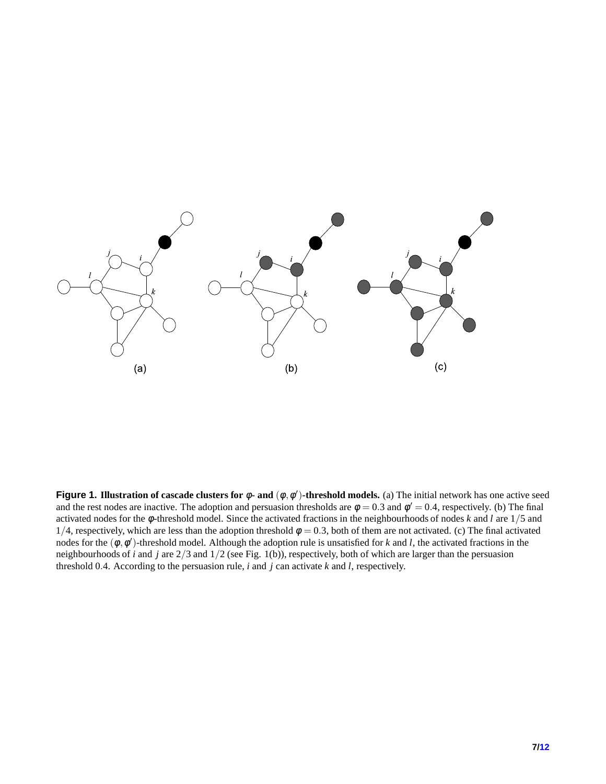<span id="page-6-0"></span>

**Figure 1. Illustration of cascade clusters for** φ**- and** (φ,φ ′ )**-threshold models.** (a) The initial network has one active seed and the rest nodes are inactive. The adoption and persuasion thresholds are  $\phi = 0.3$  and  $\phi' = 0.4$ , respectively. (b) The final activated nodes for the φ-threshold model. Since the activated fractions in the neighbourhoods of nodes *k* and *l* are 1/5 and 1/4, respectively, which are less than the adoption threshold  $\phi = 0.3$ , both of them are not activated. (c) The final activated nodes for the  $(\phi, \phi')$ -threshold model. Although the adoption rule is unsatisfied for *k* and *l*, the activated fractions in the neighbourhoods of *i* and *j* are 2/3 and 1/2 (see Fig. 1(b)), respectively, both of which are larger than the persuasion threshold 0.4. According to the persuasion rule, *i* and *j* can activate *k* and *l*, respectively.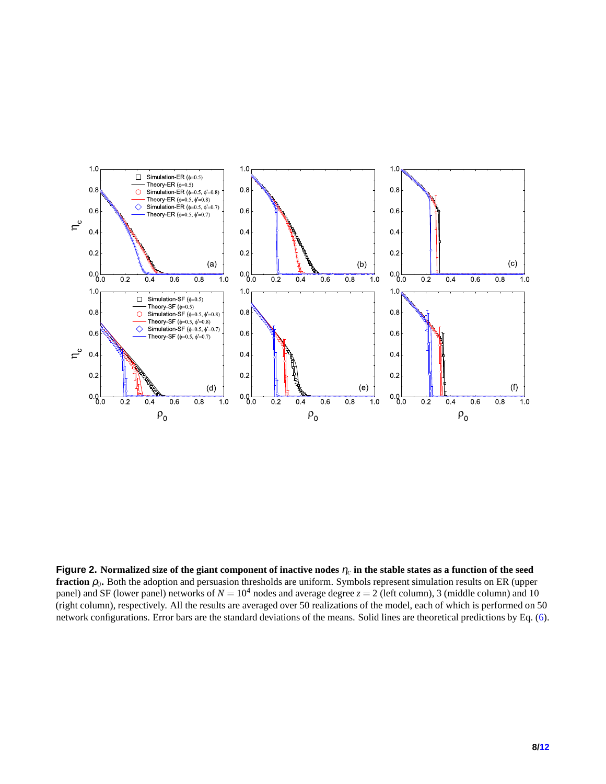<span id="page-7-0"></span>

**Figure 2.** Normalized size of the giant component of inactive nodes  $\eta_c$  in the stable states as a function of the seed **fraction**  $\rho_0$ . Both the adoption and persuasion thresholds are uniform. Symbols represent simulation results on ER (upper panel) and SF (lower panel) networks of  $N = 10^4$  nodes and average degree  $z = 2$  (left column), 3 (middle column) and 10 (right column), respectively. All the results are averaged over 50 realizations of the model, each of which is performed on 50 network configurations. Error bars are the standard deviations of the means. Solid lines are theoretical predictions by Eq. [\(6\)](#page-4-23).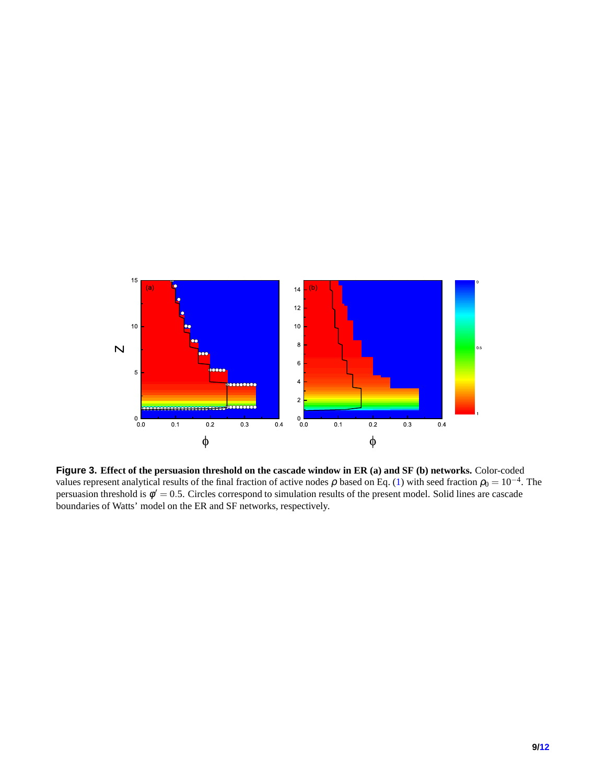<span id="page-8-0"></span>

**Figure 3. Effect of the persuasion threshold on the cascade window in ER (a) and SF (b) networks.** Color-coded values represent analytical results of the final fraction of active nodes  $\rho$  based on Eq. [\(1\)](#page-3-0) with seed fraction  $\rho_0 = 10^{-4}$ . The persuasion threshold is  $\phi' = 0.5$ . Circles correspond to simulation results of the present model. Solid lines are cascade boundaries of Watts' model on the ER and SF networks, respectively.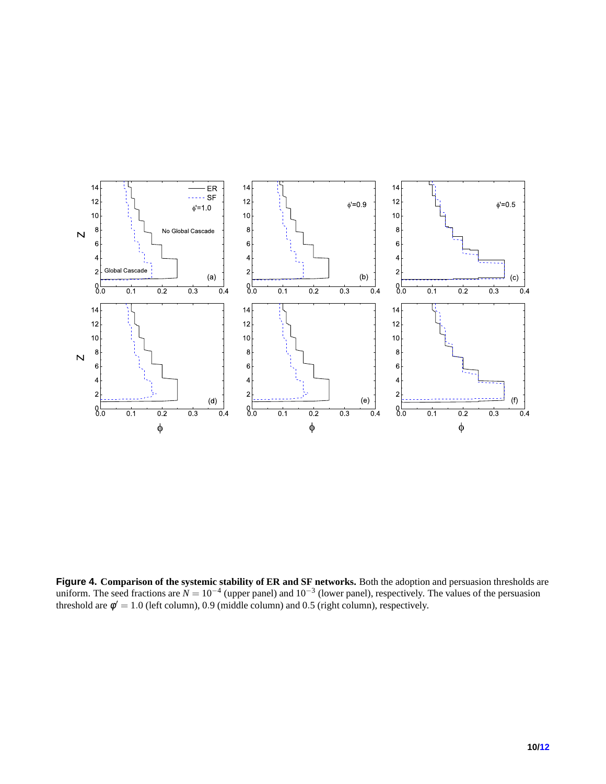<span id="page-9-0"></span>

**Figure 4. Comparison of the systemic stability of ER and SF networks.** Both the adoption and persuasion thresholds are uniform. The seed fractions are  $N = 10^{-4}$  (upper panel) and  $10^{-3}$  (lower panel), respectively. The values of the persuasion threshold are  $\phi' = 1.0$  (left column), 0.9 (middle column) and 0.5 (right column), respectively.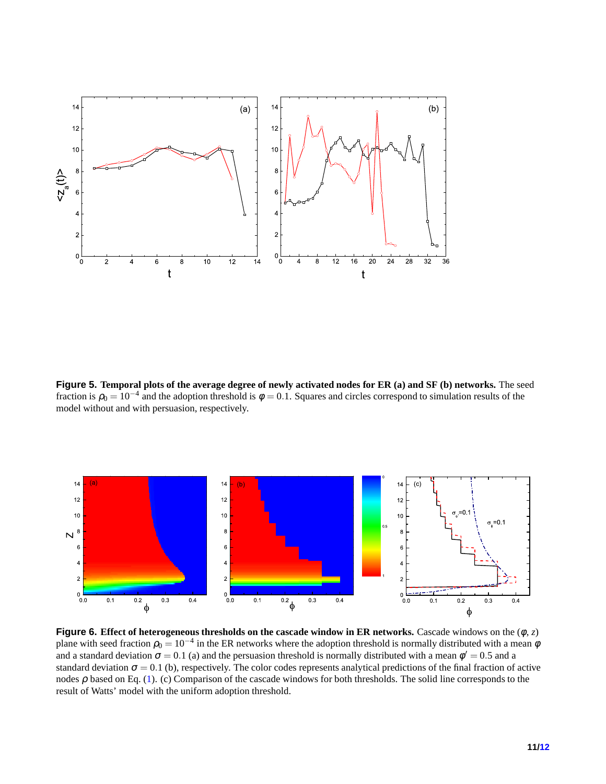<span id="page-10-0"></span>

**Figure 5. Temporal plots of the average degree of newly activated nodes for ER (a) and SF (b) networks.** The seed fraction is  $\rho_0 = 10^{-4}$  and the adoption threshold is  $\phi = 0.1$ . Squares and circles correspond to simulation results of the model without and with persuasion, respectively.

<span id="page-10-1"></span>

**Figure 6. Effect of heterogeneous thresholds on the cascade window in ER networks.** Cascade windows on the (φ, *z*) plane with seed fraction  $\rho_0 = 10^{-4}$  in the ER networks where the adoption threshold is normally distributed with a mean  $\phi$ and a standard deviation  $\sigma = 0.1$  (a) and the persuasion threshold is normally distributed with a mean  $\phi' = 0.5$  and a standard deviation  $\sigma = 0.1$  (b), respectively. The color codes represents analytical predictions of the final fraction of active nodes  $\rho$  based on Eq. [\(1\)](#page-3-0). (c) Comparison of the cascade windows for both thresholds. The solid line corresponds to the result of Watts' model with the uniform adoption threshold.